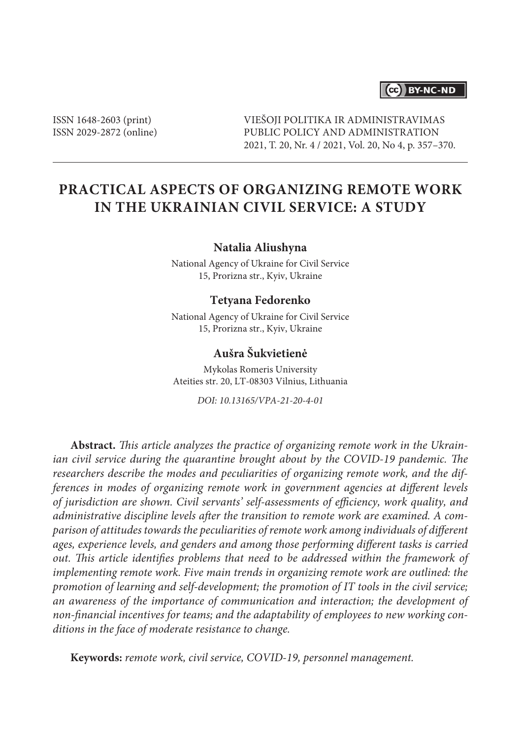# (cc) BY-NC-ND

ISSN 1648-2603 (print) ISSN 2029-2872 (online) VIEŠOJI POLITIKA IR ADMINISTRAVIMAS PUBLIC POLICY AND ADMINISTRATION 2021, T. 20, Nr. 4 / 2021, Vol. 20, No 4, p. 357–370.

# **Practical Aspects of Organizing Remote Work in the Ukrainian Civil Service: A Study**

#### **Natalia Aliushyna**

National Agency of Ukraine for Civil Service 15, Prorizna str., Kyiv, Ukraine

#### **Tetyana Fedorenko**

National Agency of Ukraine for Civil Service 15, Prorizna str., Kyiv, Ukraine

# **Aušra Šukvietienė**

Mykolas Romeris University Ateities str. 20, LT-08303 Vilnius, Lithuania

*DOI: 10.13165/VPA-21-20-4-01*

**Abstract.** *This article analyzes the practice of organizing remote work in the Ukrainian civil service during the quarantine brought about by the COVID-19 pandemic. The researchers describe the modes and peculiarities of organizing remote work, and the differences in modes of organizing remote work in government agencies at different levels of jurisdiction are shown. Civil servants' self-assessments of efficiency, work quality, and administrative discipline levels after the transition to remote work are examined. A comparison of attitudes towards the peculiarities of remote work among individuals of different ages, experience levels, and genders and among those performing different tasks is carried out. This article identifies problems that need to be addressed within the framework of implementing remote work. Five main trends in organizing remote work are outlined: the promotion of learning and self-development; the promotion of IT tools in the civil service; an awareness of the importance of communication and interaction; the development of non-financial incentives for teams; and the adaptability of employees to new working conditions in the face of moderate resistance to change.*

**Keywords:** *remote work, civil service, COVID-19, personnel management.*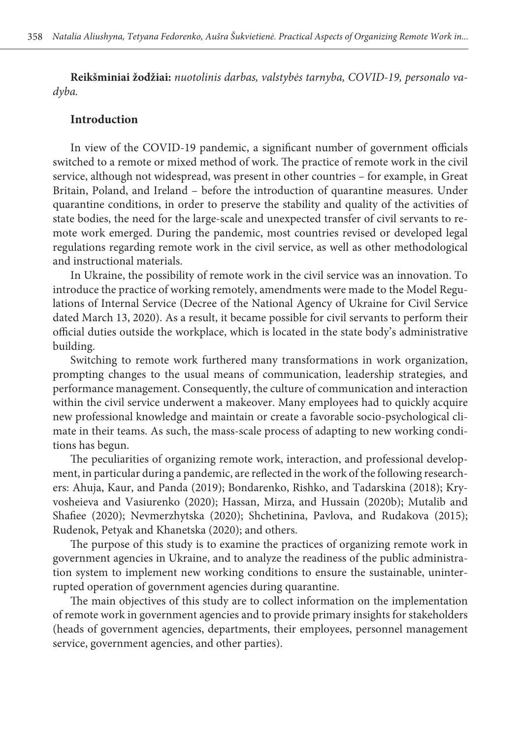**Reikšminiai žodžiai:** *nuotolinis darbas, valstybės tarnyba, COVID-19, personalo vadyba.*

### **Introduction**

In view of the COVID-19 pandemic, a significant number of government officials switched to a remote or mixed method of work. The practice of remote work in the civil service, although not widespread, was present in other countries – for example, in Great Britain, Poland, and Ireland – before the introduction of quarantine measures. Under quarantine conditions, in order to preserve the stability and quality of the activities of state bodies, the need for the large-scale and unexpected transfer of civil servants to remote work emerged. During the pandemic, most countries revised or developed legal regulations regarding remote work in the civil service, as well as other methodological and instructional materials.

In Ukraine, the possibility of remote work in the civil service was an innovation. To introduce the practice of working remotely, amendments were made to the Model Regulations of Internal Service (Decree of the National Agency of Ukraine for Civil Service dated March 13, 2020). As a result, it became possible for civil servants to perform their official duties outside the workplace, which is located in the state body's administrative building.

Switching to remote work furthered many transformations in work organization, prompting changes to the usual means of communication, leadership strategies, and performance management. Consequently, the culture of communication and interaction within the civil service underwent a makeover. Many employees had to quickly acquire new professional knowledge and maintain or create a favorable socio-psychological climate in their teams. As such, the mass-scale process of adapting to new working conditions has begun.

The peculiarities of organizing remote work, interaction, and professional development, in particular during a pandemic, are reflected in the work of the following researchers: Ahuja, Kaur, and Panda (2019); Bondarenko, Rishko, and Tadarskina (2018); Kryvosheieva and Vasiurenko (2020); Hassan, Mirza, and Hussain (2020b); Mutalib and Shafiee (2020); Nevmerzhytska (2020); Shchetinina, Pavlova, and Rudakova (2015); Rudenok, Petyak and Khanetska (2020); and others.

The purpose of this study is to examine the practices of organizing remote work in government agencies in Ukraine, and to analyze the readiness of the public administration system to implement new working conditions to ensure the sustainable, uninterrupted operation of government agencies during quarantine.

The main objectives of this study are to collect information on the implementation of remote work in government agencies and to provide primary insights for stakeholders (heads of government agencies, departments, their employees, personnel management service, government agencies, and other parties).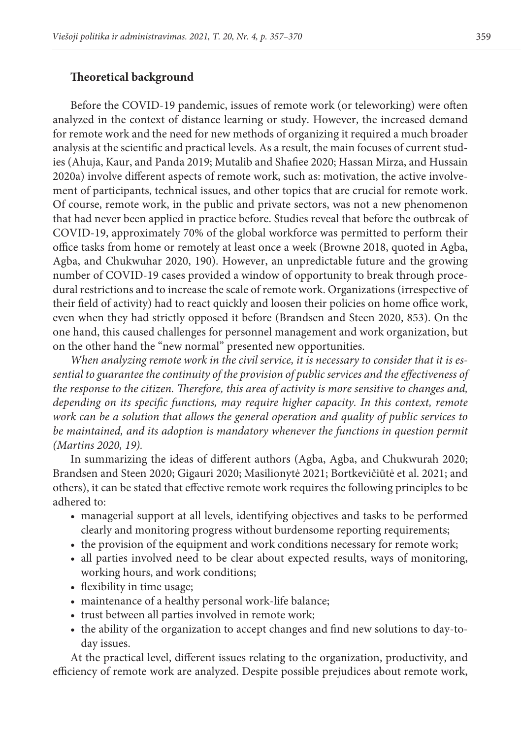## **Theoretical background**

Before the COVID-19 pandemic, issues of remote work (or teleworking) were often analyzed in the context of distance learning or study. However, the increased demand for remote work and the need for new methods of organizing it required a much broader analysis at the scientific and practical levels. As a result, the main focuses of current studies (Ahuja, Kaur, and Panda 2019; Mutalib and Shafiee 2020; Hassan Mirza, and Hussain 2020a) involve different aspects of remote work, such as: motivation, the active involvement of participants, technical issues, and other topics that are crucial for remote work. Of course, remote work, in the public and private sectors, was not a new phenomenon that had never been applied in practice before. Studies reveal that before the outbreak of COVID-19, approximately 70% of the global workforce was permitted to perform their office tasks from home or remotely at least once a week (Browne 2018, quoted in Agba, Agba, and Chukwuhar 2020, 190). However, an unpredictable future and the growing number of COVID-19 cases provided a window of opportunity to break through procedural restrictions and to increase the scale of remote work. Organizations (irrespective of their field of activity) had to react quickly and loosen their policies on home office work, even when they had strictly opposed it before (Brandsen and Steen 2020, 853). On the one hand, this caused challenges for personnel management and work organization, but on the other hand the "new normal" presented new opportunities.

*When analyzing remote work in the civil service, it is necessary to consider that it is essential to guarantee the continuity of the provision of public services and the effectiveness of the response to the citizen. Therefore, this area of activity is more sensitive to changes and, depending on its specific functions, may require higher capacity. In this context, remote work can be a solution that allows the general operation and quality of public services to be maintained, and its adoption is mandatory whenever the functions in question permit (Martins 2020, 19).* 

In summarizing the ideas of different authors (Agba, Agba, and Chukwurah 2020; Brandsen and Steen 2020; Gigauri 2020; Masilionytė 2021; [Bortkevičiūtė](https://www.knygynas.vu.lt/autoriai/rasa-bortkeviciute) et al. 2021; and others), it can be stated that effective remote work requires the following principles to be adhered to:

- managerial support at all levels, identifying objectives and tasks to be performed clearly and monitoring progress without burdensome reporting requirements;
- the provision of the equipment and work conditions necessary for remote work;
- all parties involved need to be clear about expected results, ways of monitoring, working hours, and work conditions;
- flexibility in time usage;
- maintenance of a healthy personal work-life balance;
- trust between all parties involved in remote work;
- the ability of the organization to accept changes and find new solutions to day-today issues.

At the practical level, different issues relating to the organization, productivity, and efficiency of remote work are analyzed. Despite possible prejudices about remote work,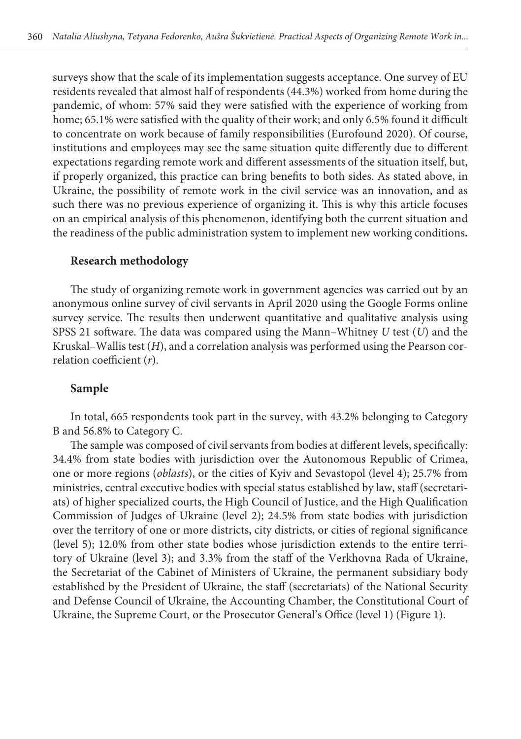surveys show that the scale of its implementation suggests acceptance. One survey of EU residents revealed that almost half of respondents (44.3%) worked from home during the pandemic, of whom: 57% said they were satisfied with the experience of working from home; 65.1% were satisfied with the quality of their work; and only 6.5% found it difficult to concentrate on work because of family responsibilities (Eurofound 2020). Of course, institutions and employees may see the same situation quite differently due to different expectations regarding remote work and different assessments of the situation itself, but, if properly organized, this practice can bring benefits to both sides. As stated above, in Ukraine, the possibility of remote work in the civil service was an innovation, and as such there was no previous experience of organizing it. This is why this article focuses on an empirical analysis of this phenomenon, identifying both the current situation and the readiness of the public administration system to implement new working conditions**.**

# **Research methodology**

The study of organizing remote work in government agencies was carried out by an anonymous online survey of civil servants in April 2020 using the Google Forms online survey service. The results then underwent quantitative and qualitative analysis using SPSS 21 software. The data was compared using the Mann–Whitney *U* test (*U*) and the Kruskal–Wallis test (*H*), and a correlation analysis was performed using the Pearson correlation coefficient (*r*).

# **Sample**

In total, 665 respondents took part in the survey, with 43.2% belonging to Category B and 56.8% to Category C.

The sample was composed of civil servants from bodies at different levels, specifically: 34.4% from state bodies with jurisdiction over the Autonomous Republic of Crimea, one or more regions (*oblasts*), or the cities of Kyiv and Sevastopol (level 4); 25.7% from ministries, central executive bodies with special status established by law, staff (secretariats) of higher specialized courts, the High Council of Justice, and the High Qualification Commission of Judges of Ukraine (level 2); 24.5% from state bodies with jurisdiction over the territory of one or more districts, city districts, or cities of regional significance (level 5); 12.0% from other state bodies whose jurisdiction extends to the entire territory of Ukraine (level 3); and 3.3% from the staff of the Verkhovna Rada of Ukraine, the Secretariat of the Cabinet of Ministers of Ukraine, the permanent subsidiary body established by the President of Ukraine, the staff (secretariats) of the National Security and Defense Council of Ukraine, the Accounting Chamber, the Constitutional Court of Ukraine, the Supreme Court, or the Prosecutor General's Office (level 1) (Figure 1).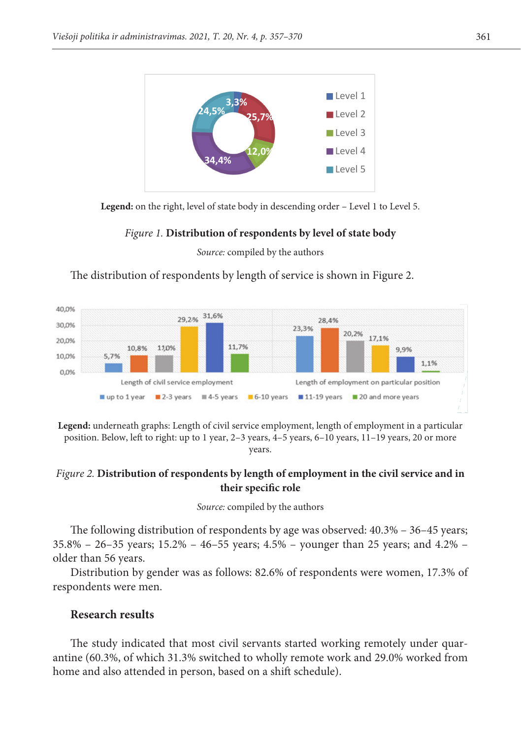(<del>) (1) (1) (1)</del>



Legend: on the right, level of state body in descending order - Level 1 to Level 5.

# Figure 1. Distribution of respondents by level of state body

# *Figure 1***. Distribution of respondents by level of the state body**  *Source:* compiled by the authors *Source:* compiled by the authors

The distribution of respondents by length of service is shown in Figure 2.



Legend: underneath graphs: Length of civil service employment, length of employment in a particular position. Below, left to right: up to 1 year, 2–3 years, 4–5 years, 6–10 years, 11–19 years, 20 or more<br>vears years.

# 5 years, 6–10 years, 11–19 years, 20 and or more years. *Figure 2.* **Distribution of respondents by length of employment in the civil service and in Figure 2. Distribution of their specific role**

# Source: compiled by the authors

The following distribution of respondents by age was observed:  $40.3\%$  –  $36-45$  years;  $\alpha$  folder than 56 years. 35.8% – 26–35 years; 15.2% – 46–55 years; 4.5% – younger than 25 years; and 4.2% – older than 56 years.

respondents were men. Distribution by gender was as follows: 82.6% of respondents were women, 17.3% of

#### Distribution by gender is was as follows: 82.,6% of respondents were women, 17.,3% **Research results**

The study indicated that most civil servants started working remotely under quar-**Research results**  home and also attended in person, based on a shift schedule).antine (60.3%, of which 31.3% switched to wholly remote work and 29.0% worked from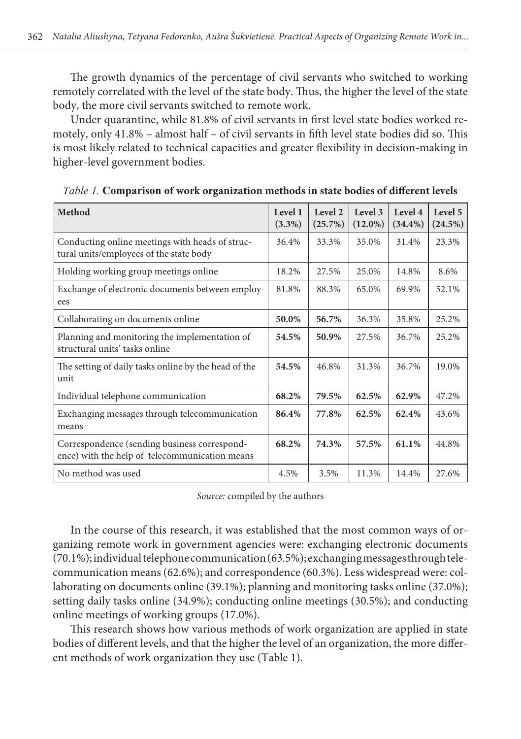The growth dynamics of the percentage of civil servants who switched to working remotely correlated with the level of the state body. Thus, the higher the level of the state body, the more civil servants switched to remote work.

Under quarantine, while 81.8% of civil servants in first level state bodies worked remotely, only 41.8% – almost half – of civil servants in fifth level state bodies did so. This is most likely related to technical capacities and greater flexibility in decision-making in higher-level government bodies.

| Method                                                                                         | Level 1<br>$(3.3\%)$ | Level 2<br>(25.7%) | Level 3<br>$(12.0\%)$ | Level 4<br>$(34.4\%)$ | Level 5<br>$(24.5\%)$ |
|------------------------------------------------------------------------------------------------|----------------------|--------------------|-----------------------|-----------------------|-----------------------|
| Conducting online meetings with heads of struc-<br>tural units/employees of the state body     | 36.4%                | 33.3%              | 35.0%                 | 31.4%                 | 23.3%                 |
| Holding working group meetings online                                                          | 18.2%                | 27.5%              | 25.0%                 | 14.8%                 | 8.6%                  |
| Exchange of electronic documents between employ-<br>ees                                        | 81.8%                | 88.3%              | 65.0%                 | 69.9%                 | 52.1%                 |
| Collaborating on documents online                                                              | 50.0%                | 56.7%              | 36.3%                 | 35.8%                 | 25.2%                 |
| Planning and monitoring the implementation of<br>structural units' tasks online                | 54.5%                | 50.9%              | 27.5%                 | 36.7%                 | 25.2%                 |
| The setting of daily tasks online by the head of the<br>unit                                   | 54.5%                | 46.8%              | 31.3%                 | 36.7%                 | 19.0%                 |
| Individual telephone communication                                                             | 68.2%                | 79.5%              | 62.5%                 | 62.9%                 | 47.2%                 |
| Exchanging messages through telecommunication<br>means                                         | 86.4%                | 77.8%              | 62.5%                 | 62.4%                 | 43.6%                 |
| Correspondence (sending business correspond-<br>ence) with the help of telecommunication means | 68.2%                | 74.3%              | 57.5%                 | 61.1%                 | 44.8%                 |
| No method was used                                                                             | 4.5%                 | 3.5%               | 11.3%                 | 14.4%                 | 27.6%                 |

*Table 1.* **Comparison of work organization methods in state bodies of different levels**

*Source:* compiled by the authors

In the course of this research, it was established that the most common ways of organizing remote work in government agencies were: exchanging electronic documents (70.1%); individual telephone communication (63.5%); exchanging messages through telecommunication means (62.6%); and correspondence (60.3%). Less widespread were: collaborating on documents online (39.1%); planning and monitoring tasks online (37.0%); setting daily tasks online (34.9%); conducting online meetings (30.5%); and conducting online meetings of working groups (17.0%).

This research shows how various methods of work organization are applied in state bodies of different levels, and that the higher the level of an organization, the more different methods of work organization they use (Table 1).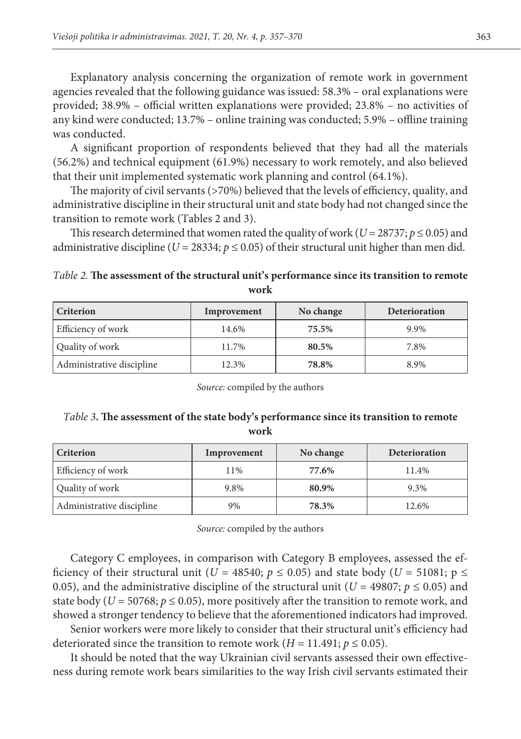Explanatory analysis concerning the organization of remote work in government agencies revealed that the following guidance was issued: 58.3% – oral explanations were provided; 38.9% – official written explanations were provided; 23.8% – no activities of any kind were conducted; 13.7% – online training was conducted; 5.9% – offline training was conducted.

A significant proportion of respondents believed that they had all the materials (56.2%) and technical equipment (61.9%) necessary to work remotely, and also believed that their unit implemented systematic work planning and control (64.1%).

The majority of civil servants (>70%) believed that the levels of efficiency, quality, and administrative discipline in their structural unit and state body had not changed since the transition to remote work (Tables 2 and 3).

This research determined that women rated the quality of work ( $U = 28737$ ;  $p \le 0.05$ ) and administrative discipline ( $U = 28334$ ;  $p \le 0.05$ ) of their structural unit higher than men did.

*Table 2.* **The assessment of the structural unit's performance since its transition to remote work**

| <b>Criterion</b>          | Improvement | No change | Deterioration |
|---------------------------|-------------|-----------|---------------|
| Efficiency of work        | 14.6%       | 75.5%     | 9.9%          |
| Quality of work           | 11.7%       | 80.5%     | 7.8%          |
| Administrative discipline | 12.3%       | 78.8%     | 8.9%          |

*Source:* compiled by the authors

*Table 3***. The assessment of the state body's performance since its transition to remote work**

| <b>Criterion</b>          | Improvement | No change | Deterioration |
|---------------------------|-------------|-----------|---------------|
| Efficiency of work        | 11%         | 77.6%     | 11.4%         |
| Quality of work           | 9.8%        | 80.9%     | 9.3%          |
| Administrative discipline | 9%          | 78.3%     | 12.6%         |

*Source:* compiled by the authors

Category C employees, in comparison with Category B employees, assessed the efficiency of their structural unit ( $U = 48540$ ;  $p \le 0.05$ ) and state body ( $U = 51081$ ;  $p \le$ 0.05), and the administrative discipline of the structural unit ( $U = 49807$ ;  $p \le 0.05$ ) and state body ( $U = 50768$ ;  $p \le 0.05$ ), more positively after the transition to remote work, and showed a stronger tendency to believe that the aforementioned indicators had improved.

Senior workers were more likely to consider that their structural unit's efficiency had deteriorated since the transition to remote work  $(H = 11.491; p \le 0.05)$ .

It should be noted that the way Ukrainian civil servants assessed their own effectiveness during remote work bears similarities to the way Irish civil servants estimated their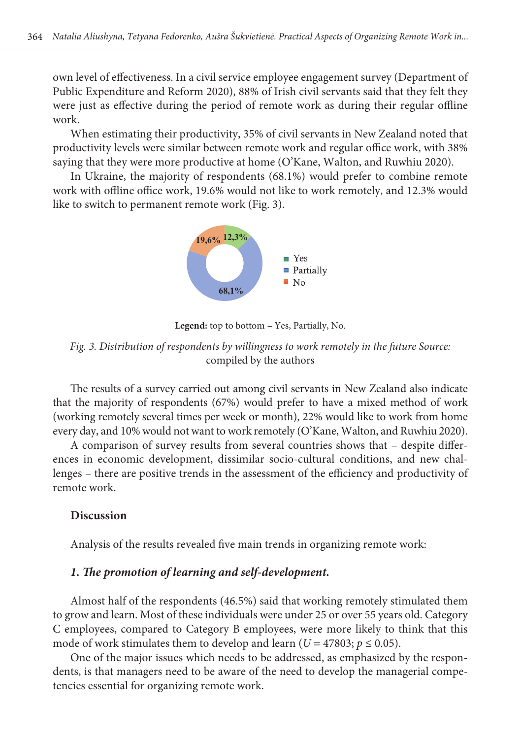own level of effectiveness. In a civil service employee engagement survey (Department of Public Expenditure and Reform 2020), 88% of Irish civil servants said that they felt they  $\tilde{X}$ were just as effective during the period of remote work as during their regular offline work. work  $\frac{1}{2}$  work and remote work and remote work and regular office  $\frac{1}{2}$  and regular office  $\frac{1}{2}$  and  $\frac{1}{2}$  and  $\frac{1}{2}$  and  $\frac{1}{2}$  and  $\frac{1}{2}$  and  $\frac{1}{2}$  and  $\frac{1}{2}$  and  $\frac{1}{2}$  and  $\frac{1}{2}$ 

When estimating their productivity, 35% of civil servants in New Zealand noted that productivity levels were similar between remote work and regular office work, with 38% saying that they were more productive at home (O'Kane, Walton, and Ruwhiu 2020).

In Ukraine, the majority of respondents  $(68.1%)$  would prefer to combine remote work with offline office work, 19.6% would not like to work remotely, and 12.3% would like to switch to permanent remote work (Fig. 3). like to switch to permanent remote work (Fig. 3).



**Legend**: top to bottom – Yes, Partially, No. **Legend:** top to bottom – Yes, Partially, No.

*Fig. 3***. Distribution of respondents by willingness to work remotely in the future** *Fig. 3. Distribution of respondents by willingness to work remotely in the future Source: Source:* compiled by the authors compiled by the authors

(working remotely several times per week or month), 22% would like to work from home every day, and 10% would not want to work remotely (O'Kane, Walton, and Ruwhiu 2020). The results of a survey carried out among civil servants in New Zealand also indicate that the majority of respondents (67%) would prefer to have a mixed method of work

A comparison of survey results from several countries shows that - despite differlike to work from home provides to work from home day, and the channels with the state remotely in the set of the efficiency and productivity of remote work. ences in economic development, dissimilar socio-cultural conditions, and new chal-

#### $\mathcal{L}$ io-cubo-cultural conditions, and new challenges –, there exists  $\mathcal{L}$ **Discussion**

Analysis of the results revealed five main trends in organizing remote work:

# *1. The promotion of learning and self-development.*

Almost half of the respondents (46.5%) said that working remotely stimulated them to grow and learn. Most of these individuals were under 25 or over 55 years old. Category C employees, compared to Category B employees, were more likely to think that this mode of work stimulates them to develop and learn ( $U = 47803$ ;  $p \le 0.05$ ).

One of the major issues which needs to be addressed, as emphasized by the respondents, is that managers need to be aware of the need to develop the managerial competencies essential for organizing remote work.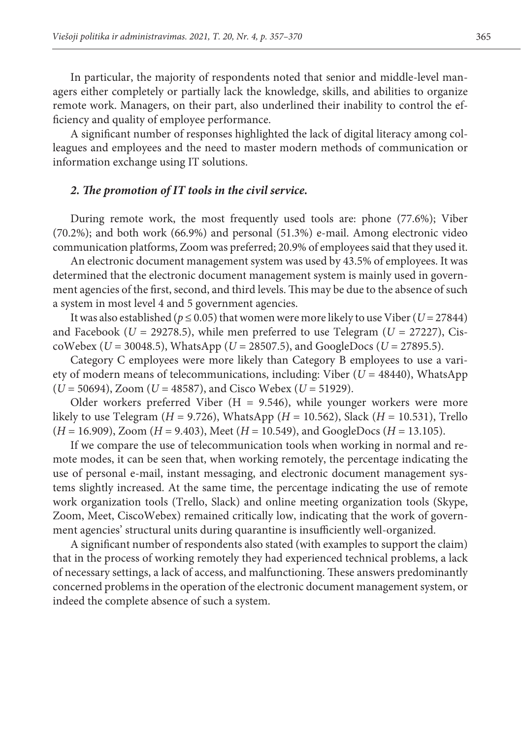In particular, the majority of respondents noted that senior and middle-level managers either completely or partially lack the knowledge, skills, and abilities to organize remote work. Managers, on their part, also underlined their inability to control the efficiency and quality of employee performance.

A significant number of responses highlighted the lack of digital literacy among colleagues and employees and the need to master modern methods of communication or information exchange using IT solutions.

## *2. The promotion of IT tools in the civil service.*

During remote work, the most frequently used tools are: phone (77.6%); Viber (70.2%); and both work (66.9%) and personal (51.3%) e-mail. Among electronic video communication platforms, Zoom was preferred; 20.9% of employees said that they used it.

An electronic document management system was used by 43.5% of employees. It was determined that the electronic document management system is mainly used in government agencies of the first, second, and third levels. This may be due to the absence of such a system in most level 4 and 5 government agencies.

It was also established ( $p \le 0.05$ ) that women were more likely to use Viber ( $U = 27844$ ) and Facebook ( $U = 29278.5$ ), while men preferred to use Telegram ( $U = 27227$ ), CiscoWebex ( $U = 30048.5$ ), WhatsApp ( $U = 28507.5$ ), and GoogleDocs ( $U = 27895.5$ ).

Category C employees were more likely than Category B employees to use a variety of modern means of telecommunications, including: Viber (*U* = 48440), WhatsApp (*U* = 50694), Zoom (*U* = 48587), and Cisco Webex (*U* = 51929).

Older workers preferred Viber ( $H = 9.546$ ), while younger workers were more likely to use Telegram ( $H = 9.726$ ), WhatsApp ( $H = 10.562$ ), Slack ( $H = 10.531$ ), Trello (*H* = 16.909), Zoom (*H* = 9.403), Meet (*H* = 10.549), and GoogleDocs (*H* = 13.105).

If we compare the use of telecommunication tools when working in normal and remote modes, it can be seen that, when working remotely, the percentage indicating the use of personal e-mail, instant messaging, and electronic document management systems slightly increased. At the same time, the percentage indicating the use of remote work organization tools (Trello, Slack) and online meeting organization tools (Skype, Zoom, Meet, CiscoWebex) remained critically low, indicating that the work of government agencies' structural units during quarantine is insufficiently well-organized.

A significant number of respondents also stated (with examples to support the claim) that in the process of working remotely they had experienced technical problems, a lack of necessary settings, a lack of access, and malfunctioning. These answers predominantly concerned problems in the operation of the electronic document management system, or indeed the complete absence of such a system.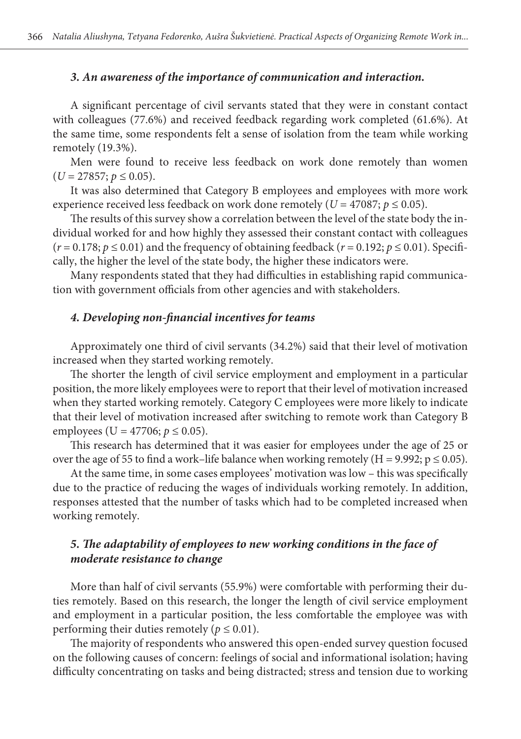# *3. An awareness of the importance of communication and interaction.*

A significant percentage of civil servants stated that they were in constant contact with colleagues (77.6%) and received feedback regarding work completed (61.6%). At the same time, some respondents felt a sense of isolation from the team while working remotely (19.3%).

Men were found to receive less feedback on work done remotely than women  $(U = 27857; p \le 0.05)$ .

It was also determined that Category B employees and employees with more work experience received less feedback on work done remotely ( $U = 47087$ ;  $p \le 0.05$ ).

The results of this survey show a correlation between the level of the state body the individual worked for and how highly they assessed their constant contact with colleagues  $(r = 0.178; p \le 0.01)$  and the frequency of obtaining feedback  $(r = 0.192; p \le 0.01)$ . Specifically, the higher the level of the state body, the higher these indicators were.

Many respondents stated that they had difficulties in establishing rapid communication with government officials from other agencies and with stakeholders.

# *4. Developing non-financial incentives for teams*

Approximately one third of civil servants (34.2%) said that their level of motivation increased when they started working remotely.

The shorter the length of civil service employment and employment in a particular position, the more likely employees were to report that their level of motivation increased when they started working remotely. Category C employees were more likely to indicate that their level of motivation increased after switching to remote work than Category B employees (U = 47706;  $p \le 0.05$ ).

This research has determined that it was easier for employees under the age of 25 or over the age of 55 to find a work–life balance when working remotely (H = 9.992;  $p \le 0.05$ ).

At the same time, in some cases employees' motivation was low – this was specifically due to the practice of reducing the wages of individuals working remotely. In addition, responses attested that the number of tasks which had to be completed increased when working remotely.

# *5. The adaptability of employees to new working conditions in the face of moderate resistance to change*

More than half of civil servants (55.9%) were comfortable with performing their duties remotely. Based on this research, the longer the length of civil service employment and employment in a particular position, the less comfortable the employee was with performing their duties remotely ( $p \le 0.01$ ).

The majority of respondents who answered this open-ended survey question focused on the following causes of concern: feelings of social and informational isolation; having difficulty concentrating on tasks and being distracted; stress and tension due to working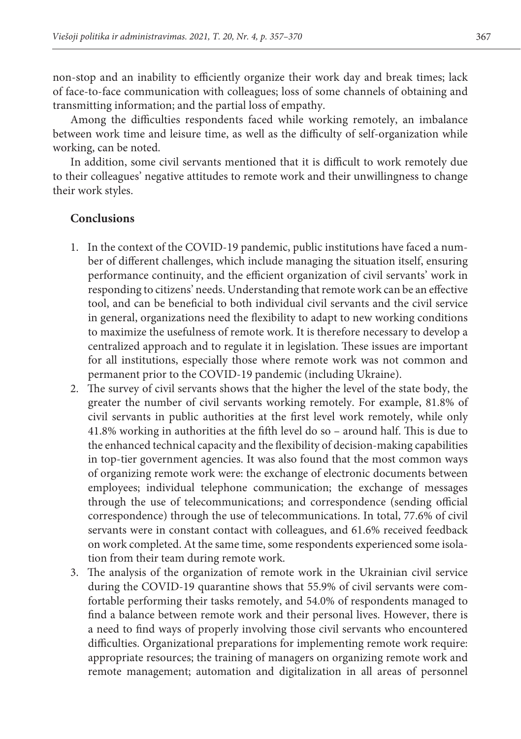non-stop and an inability to efficiently organize their work day and break times; lack of face-to-face communication with colleagues; loss of some channels of obtaining and transmitting information; and the partial loss of empathy.

Among the difficulties respondents faced while working remotely, an imbalance between work time and leisure time, as well as the difficulty of self-organization while working, can be noted.

In addition, some civil servants mentioned that it is difficult to work remotely due to their colleagues' negative attitudes to remote work and their unwillingness to change their work styles.

## **Conclusions**

- 1. In the context of the COVID-19 pandemic, public institutions have faced a number of different challenges, which include managing the situation itself, ensuring performance continuity, and the efficient organization of civil servants' work in responding to citizens' needs. Understanding that remote work can be an effective tool, and can be beneficial to both individual civil servants and the civil service in general, organizations need the flexibility to adapt to new working conditions to maximize the usefulness of remote work. It is therefore necessary to develop a centralized approach and to regulate it in legislation. These issues are important for all institutions, especially those where remote work was not common and permanent prior to the COVID-19 pandemic (including Ukraine).
- 2. The survey of civil servants shows that the higher the level of the state body, the greater the number of civil servants working remotely. For example, 81.8% of civil servants in public authorities at the first level work remotely, while only 41.8% working in authorities at the fifth level do so – around half. This is due to the enhanced technical capacity and the flexibility of decision-making capabilities in top-tier government agencies. It was also found that the most common ways of organizing remote work were: the exchange of electronic documents between employees; individual telephone communication; the exchange of messages through the use of telecommunications; and correspondence (sending official correspondence) through the use of telecommunications. In total, 77.6% of civil servants were in constant contact with colleagues, and 61.6% received feedback on work completed. At the same time, some respondents experienced some isolation from their team during remote work.
- 3. The analysis of the organization of remote work in the Ukrainian civil service during the COVID-19 quarantine shows that 55.9% of civil servants were comfortable performing their tasks remotely, and 54.0% of respondents managed to find a balance between remote work and their personal lives. However, there is a need to find ways of properly involving those civil servants who encountered difficulties. Organizational preparations for implementing remote work require: appropriate resources; the training of managers on organizing remote work and remote management; automation and digitalization in all areas of personnel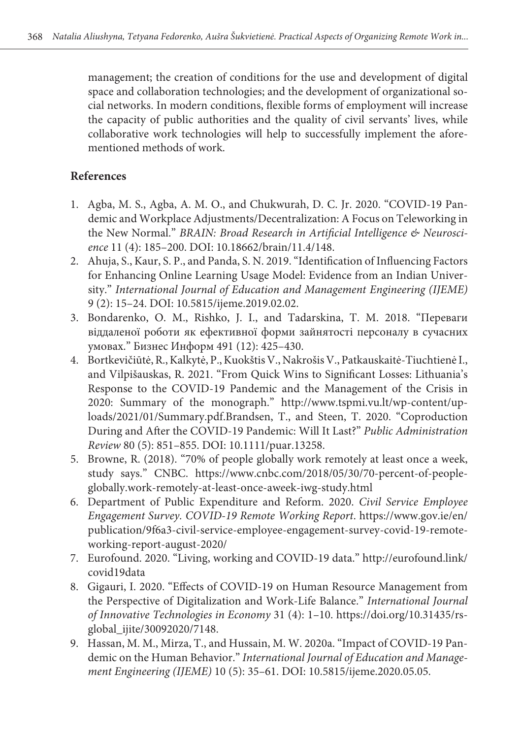management; the creation of conditions for the use and development of digital space and collaboration technologies; and the development of organizational social networks. In modern conditions, flexible forms of employment will increase the capacity of public authorities and the quality of civil servants' lives, while collaborative work technologies will help to successfully implement the aforementioned methods of work.

# **References**

- 1. Agba, M. S., Agba, A. M. O., and Chukwurah, D. C. Jr. 2020. "COVID-19 Pandemic and Workplace Adjustments/Decentralization: A Focus on Teleworking in the New Normal." BRAIN: Broad Research in Artificial Intelligence & Neurosci*ence* 11 (4): 185–200. DOI: 10.18662/brain/11.4/148.
- 2. Ahuja, S., Kaur, S. P., and Panda, S. N. 2019. "Identification of Influencing Factors for Enhancing Online Learning Usage Model: Evidence from an Indian University." *International Journal of Education and Management Engineering (IJEME)* 9 (2): 15–24. DOI: 10.5815/ijeme.2019.02.02.
- 3. Bondarenko, O. М., Rishko, J. І., and Tadarskina, Т. М. 2018. "Переваги віддаленої роботи як ефективної форми зайнятості персоналу в сучасних умовах." Бизнес Информ 491 (12): 425–430.
- 4. Bortkevičiūtė, R., Kalkytė, P., Kuokštis V., Nakrošis V., Patkauskaitė-Tiuchtienė I., and Vilpišauskas, R. 2021. "From Quick Wins to Significant Losses: Lithuania's Response to the COVID-19 Pandemic and the Management of the Crisis in 2020: Summary of the monograph." [http://www.tspmi.vu.lt/wp-content/up](http://www.tspmi.vu.lt/wp-content/uploads/2021/01/Summary.pdf)[loads/2021/01/Summary.pdf.](http://www.tspmi.vu.lt/wp-content/uploads/2021/01/Summary.pdf)Brandsen, T., and Steen, T. 2020. "Coproduction During and After the COVID-19 Pandemic: Will It Last?" *Public Administration Review* 80 (5): 851–855. DOI: 10.1111/puar.13258.
- 5. Browne, R. (2018). "70% of people globally work remotely at least once a week, study says." CNBC. https://www.cnbc.com/2018/05/30/70-percent-of-peopleglobally.work-remotely-at-least-once-aweek-iwg-study.html
- 6. Department of Public Expenditure and Reform. 2020. *Civil Service Employee Engagement Survey. COVID-19 Remote Working Report*. https://www.gov.ie/en/ publication/9f6a3-civil-service-employee-engagement-survey-covid-19-remoteworking-report-august-2020/
- 7. Eurofound. 2020. "Living, working and COVID-19 data." http://eurofound.link/ covid19data
- 8. Gigauri, I. 2020. "Effects of COVID-19 on Human Resource Management from the Perspective of Digitalization and Work-Life Balance." *International Journal of Innovative Technologies in Economy* 31 (4): 1–10. [https://doi.org/10.31435/rs](https://doi.org/10.31435/rsglobal_ijite/30092020/7148)[global\\_ijite/30092020/7148](https://doi.org/10.31435/rsglobal_ijite/30092020/7148).
- 9. Hassan, M. M., Mirza, T., and Hussain, M. W. 2020a. "Impact of COVID-19 Pandemic on the Human Behavior." *International Journal of Education and Management Engineering (IJEME)* 10 (5): 35–61. DOI: 10.5815/ijeme.2020.05.05.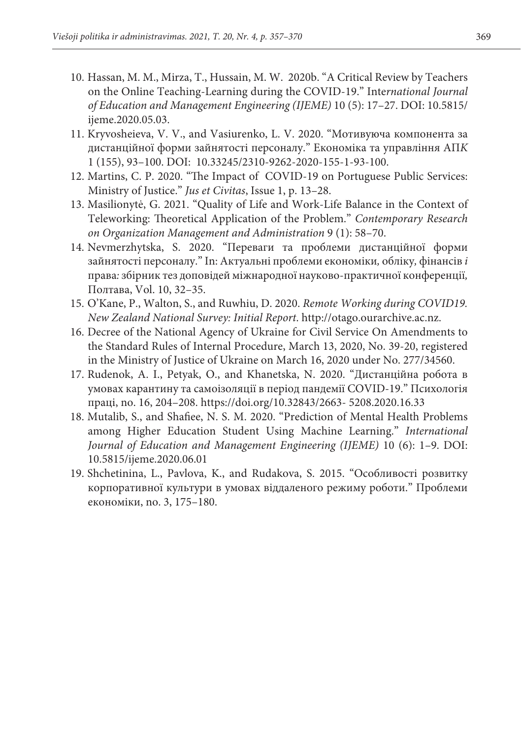- 10. Hassan, M. M., Mirza, T., Hussain, M. W. 2020b. "A Critical Review by Teachers on the Online Teaching-Learning during the COVID-19." Inte*rnational Journal of Education and Management Engineering (IJEME)* 10 (5): 17–27. DOI: 10.5815/ ijeme.2020.05.03.
- 11. Kryvosheieva, V. V., and Vasiurenko, L. V. 2020. "Мотивуюча компонента за дистанційної форми зайнятості персоналу." Економіка та управління АП*K* 1 (155), 93–100. DOI: 10.33245/2310-9262-2020-155-1-93-100.
- 12. Martins, C. P. 2020. "The Impact of COVID-19 on Portuguese Public Services: Ministry of Justice." *Jus et Civitas*, Issue 1, p. 13–28.
- 13. Masilionytė, G. 2021. "Quality of Life and Work-Life Balance in the Context of Teleworking: Theoretical Application of the Problem." *Contemporary Research on Organization Management and Administration* 9 (1): 58–70.
- 14. Nevmerzhytska, S. 2020. "Переваги та проблеми дистанційної форми зайнятості персоналу." In: Актуальні проблеми економіки*,* обліку*,* фінансів *і*  права*:* збірник тез доповідей міжнародної науково-практичної конференції*,*  Полтава, Vol. 10, 32–35.
- 15. O'Kane, P., Walton, S., and Ruwhiu, D. 2020. *Remote Working during COVID19. New Zealand National Survey: Initial Report*. http://otago.ourarchive.ac.nz.
- 16. Decree of the National Agency of Ukraine for Civil Service On Amendments to the Standard Rules of Internal Procedure, March 13, 2020, No. 39-20, registered in the Ministry of Justice of Ukraine on March 16, 2020 under No. 277/34560.
- 17. Rudenok, A. I., Petyak, O., and Khanetska, N. 2020. "Дистанційна робота в умовах карантину та самоізоляції в період пандемії COVID-19." Психологія праці, no. 16, 204–208. https://doi.org/10.32843/2663- 5208.2020.16.33
- 18. Mutalib, S., and Shafiee, N. S. M. 2020. "Prediction of Mental Health Problems among Higher Education Student Using Machine Learning." *International Journal of Education and Management Engineering (IJEME)* 10 (6): 1–9. DOI: 10.5815/ijeme.2020.06.01
- 19. Shchetinina, L., Pavlova, K., and Rudakova, S. 2015. "Особливості розвитку корпоративної культури в умовах віддаленого режиму роботи." Проблеми економіки, no. 3, 175–180.